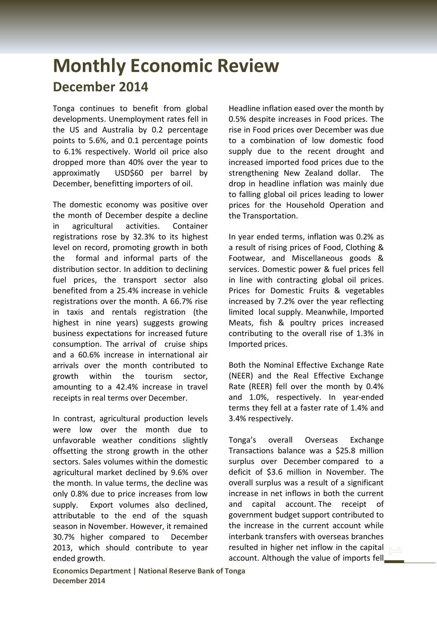## **Monthly Economic Review December 2014**

Tonga continues to benefit from global developments. Unemployment rates fell in the US and Australia by 0.2 percentage points to 5.6%, and 0.1 percentage points to 6.1% respectively. World oil price also dropped more than 40% over the year to approximatly USD\$60 per barrel by December, benefitting importers of oil.

The domestic economy was positive over the month of December despite a decline in agricultural activities. Container registrations rose by 32.3% to its highest level on record, promoting growth in both the formal and informal parts of the distribution sector. In addition to declining fuel prices, the transport sector also benefited from a 25.4% increase in vehicle registrations over the month. A 66.7% rise in taxis and rentals registration (the highest in nine years) suggests growing business expectations for increased future consumption. The arrival of cruise ships and a 60.6% increase in international air arrivals over the month contributed to growth within the tourism sector, amounting to a 42.4% increase in travel receipts in real terms over December.

In contrast, agricultural production levels were low over the month due to unfavorable weather conditions slightly offsetting the strong growth in the other sectors. Sales volumes within the domestic agricultural market declined by 9.6% over the month. In value terms, the decline was only 0.8% due to price increases from low supply. Export volumes also declined, attributable to the end of the squash season in November. However, it remained 30.7% higher compared to December 2013, which should contribute to year ended growth.

Headline inflation eased over the month by 0.5% despite increases in Food prices. The rise in Food prices over December was due to a combination of low domestic food supply due to the recent drought and increased imported food prices due to the strengthening New Zealand dollar. The drop in headline inflation was mainly due to falling global oil prices leading to lower prices for the Household Operation and the Transportation.

In year ended terms, inflation was 0.2% as a result of rising prices of Food, Clothing & Footwear, and Miscellaneous goods & services. Domestic power & fuel prices fell in line with contracting global oil prices. Prices for Domestic Fruits & vegetables increased by 7.2% over the year reflecting limited local supply. Meanwhile, Imported Meats, fish & poultry prices increased contributing to the overall rise of 1.3% in Imported prices.

Both the Nominal Effective Exchange Rate (NEER) and the Real Effective Exchange Rate (REER) fell over the month by 0.4% and 1.0%, respectively. In year-ended terms they fell at a faster rate of 1.4% and 3.4% respectively.

Tonga's overall Overseas Exchange Transactions balance was a \$25.8 million surplus over December compared to a deficit of \$3.6 million in November. The overall surplus was a result of a significant increase in net inflows in both the current and capital account. The receipt of government budget support contributed to the increase in the current account while interbank transfers with overseas branches resulted in higher net inflow in the capital account. Although the value of imports fell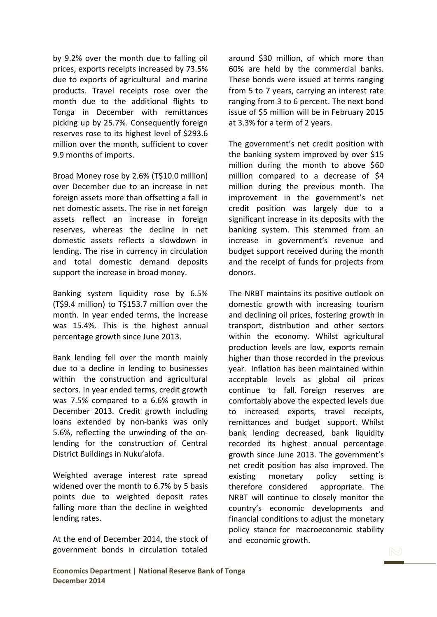by 9.2% over the month due to falling oil prices, exports receipts increased by 73.5% due to exports of agricultural and marine products. Travel receipts rose over the month due to the additional flights to Tonga in December with remittances picking up by 25.7%. Consequently foreign reserves rose to its highest level of \$293.6 million over the month, sufficient to cover 9.9 months of imports.

Broad Money rose by 2.6% (T\$10.0 million) over December due to an increase in net foreign assets more than offsetting a fall in net domestic assets. The rise in net foreign assets reflect an increase in foreign reserves, whereas the decline in net domestic assets reflects a slowdown in lending. The rise in currency in circulation and total domestic demand deposits support the increase in broad money.

Banking system liquidity rose by 6.5% (T\$9.4 million) to T\$153.7 million over the month. In year ended terms, the increase was 15.4%. This is the highest annual percentage growth since June 2013.

Bank lending fell over the month mainly due to a decline in lending to businesses within the construction and agricultural sectors. In year ended terms, credit growth was 7.5% compared to a 6.6% growth in December 2013. Credit growth including loans extended by non-banks was only 5.6%, reflecting the unwinding of the onlending for the construction of Central District Buildings in Nuku'alofa.

Weighted average interest rate spread widened over the month to 6.7% by 5 basis points due to weighted deposit rates falling more than the decline in weighted lending rates.

At the end of December 2014, the stock of government bonds in circulation totaled

around \$30 million, of which more than 60% are held by the commercial banks. These bonds were issued at terms ranging from 5 to 7 years, carrying an interest rate ranging from 3 to 6 percent. The next bond issue of \$5 million will be in February 2015 at 3.3% for a term of 2 years.

The government's net credit position with the banking system improved by over \$15 million during the month to above \$60 million compared to a decrease of \$4 million during the previous month. The improvement in the government's net credit position was largely due to a significant increase in its deposits with the banking system. This stemmed from an increase in government's revenue and budget support received during the month and the receipt of funds for projects from donors.

The NRBT maintains its positive outlook on domestic growth with increasing tourism and declining oil prices, fostering growth in transport, distribution and other sectors within the economy. Whilst agricultural production levels are low, exports remain higher than those recorded in the previous year. Inflation has been maintained within acceptable levels as global oil prices continue to fall. Foreign reserves are comfortably above the expected levels due to increased exports, travel receipts, remittances and budget support. Whilst bank lending decreased, bank liquidity recorded its highest annual percentage growth since June 2013. The government's net credit position has also improved. The existing monetary policy setting is therefore considered appropriate. The NRBT will continue to closely monitor the country's economic developments and financial conditions to adjust the monetary policy stance for macroeconomic stability and economic growth.